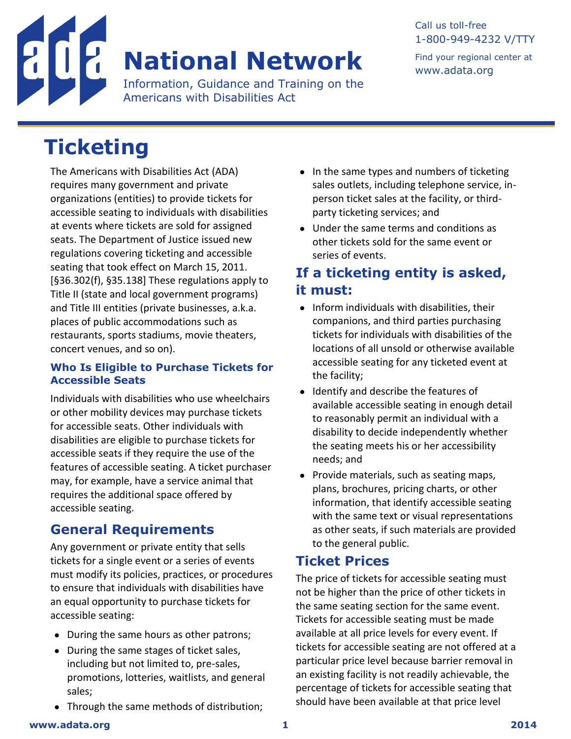

#### Call us toll-free 1-800-949-4232 V/TTY Find your regional center at [www.adata.org](http://www.adata.org/)

# **Ticketing**

The Americans with Disabilities Act (ADA) requires many government and private organizations (entities) to provide tickets for accessible seating to individuals with disabilities at events where tickets are sold for assigned seats. The Department of Justice issued new regulations covering ticketing and accessible seating that took effect on March 15, 2011. [§36.302(f), §35.138] These regulations apply to Title II (state and local government programs) and Title III entities (private businesses, a.k.a. places of public accommodations such as restaurants, sports stadiums, movie theaters, concert venues, and so on).

#### **Who Is Eligible to Purchase Tickets for Accessible Seats**

Individuals with disabilities who use wheelchairs or other mobility devices may purchase tickets for accessible seats. Other individuals with disabilities are eligible to purchase tickets for accessible seats if they require the use of the features of accessible seating. A ticket purchaser may, for example, have a service animal that requires the additional space offered by accessible seating.

# **General Requirements**

Any government or private entity that sells tickets for a single event or a series of events must modify its policies, practices, or procedures to ensure that individuals with disabilities have an equal opportunity to purchase tickets for accessible seating:

- During the same hours as other patrons;
- During the same stages of ticket sales, including but not limited to, pre-sales, promotions, lotteries, waitlists, and general sales;
- Through the same methods of distribution;
- $\bullet$  In the same types and numbers of ticketing sales outlets, including telephone service, inperson ticket sales at the facility, or thirdparty ticketing services; and
- Under the same terms and conditions as other tickets sold for the same event or series of events.

## **If a ticketing entity is asked, it must:**

- Inform individuals with disabilities, their companions, and third parties purchasing tickets for individuals with disabilities of the locations of all unsold or otherwise available accessible seating for any ticketed event at the facility;
- Identify and describe the features of available accessible seating in enough detail to reasonably permit an individual with a disability to decide independently whether the seating meets his or her accessibility needs; and
- Provide materials, such as seating maps, plans, brochures, pricing charts, or other information, that identify accessible seating with the same text or visual representations as other seats, if such materials are provided to the general public.

# **Ticket Prices**

The price of tickets for accessible seating must not be higher than the price of other tickets in the same seating section for the same event. Tickets for accessible seating must be made available at all price levels for every event. If tickets for accessible seating are not offered at a particular price level because barrier removal in an existing facility is not readily achievable, the percentage of tickets for accessible seating that should have been available at that price level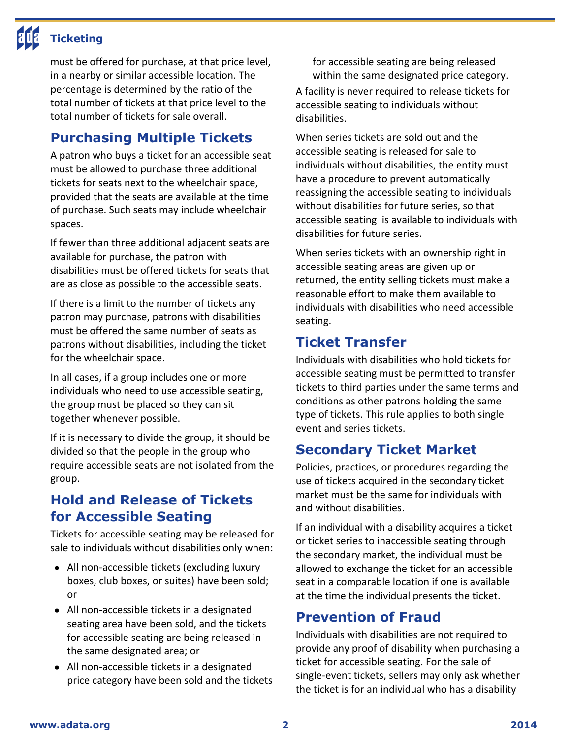must be offered for purchase, at that price level, in a nearby or similar accessible location. The percentage is determined by the ratio of the total number of tickets at that price level to the total number of tickets for sale overall.

**Ticketing**

#### **Purchasing Multiple Tickets**

A patron who buys a ticket for an accessible seat must be allowed to purchase three additional tickets for seats next to the wheelchair space, provided that the seats are available at the time of purchase. Such seats may include wheelchair spaces.

If fewer than three additional adjacent seats are available for purchase, the patron with disabilities must be offered tickets for seats that are as close as possible to the accessible seats.

If there is a limit to the number of tickets any patron may purchase, patrons with disabilities must be offered the same number of seats as patrons without disabilities, including the ticket for the wheelchair space.

In all cases, if a group includes one or more individuals who need to use accessible seating, the group must be placed so they can sit together whenever possible.

If it is necessary to divide the group, it should be divided so that the people in the group who require accessible seats are not isolated from the group.

### **Hold and Release of Tickets for Accessible Seating**

Tickets for accessible seating may be released for sale to individuals without disabilities only when:

- All non-accessible tickets (excluding luxury boxes, club boxes, or suites) have been sold; or
- All non-accessible tickets in a designated seating area have been sold, and the tickets for accessible seating are being released in the same designated area; or
- All non-accessible tickets in a designated price category have been sold and the tickets

for accessible seating are being released within the same designated price category. A facility is never required to release tickets for accessible seating to individuals without disabilities.

When series tickets are sold out and the accessible seating is released for sale to individuals without disabilities, the entity must have a procedure to prevent automatically reassigning the accessible seating to individuals without disabilities for future series, so that accessible seating is available to individuals with disabilities for future series.

When series tickets with an ownership right in accessible seating areas are given up or returned, the entity selling tickets must make a reasonable effort to make them available to individuals with disabilities who need accessible seating.

#### **Ticket Transfer**

Individuals with disabilities who hold tickets for accessible seating must be permitted to transfer tickets to third parties under the same terms and conditions as other patrons holding the same type of tickets. This rule applies to both single event and series tickets.

## **Secondary Ticket Market**

Policies, practices, or procedures regarding the use of tickets acquired in the secondary ticket market must be the same for individuals with and without disabilities.

If an individual with a disability acquires a ticket or ticket series to inaccessible seating through the secondary market, the individual must be allowed to exchange the ticket for an accessible seat in a comparable location if one is available at the time the individual presents the ticket.

#### **Prevention of Fraud**

Individuals with disabilities are not required to provide any proof of disability when purchasing a ticket for accessible seating. For the sale of single-event tickets, sellers may only ask whether the ticket is for an individual who has a disability